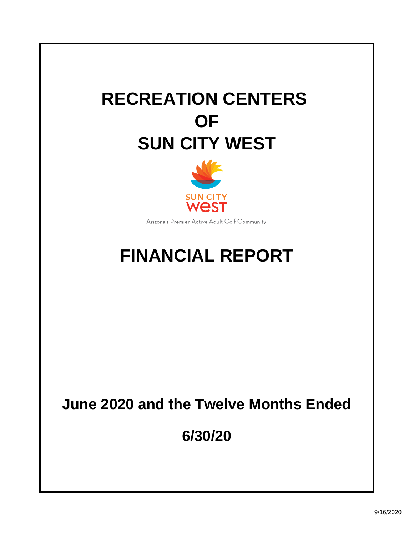# **RECREATION CENTERS OF SUN CITY WEST**



Arizona's Premier Active Adult Golf Community

## **FINANCIAL REPORT**

## **June 2020 and the Twelve Months Ended**

**6/30/20**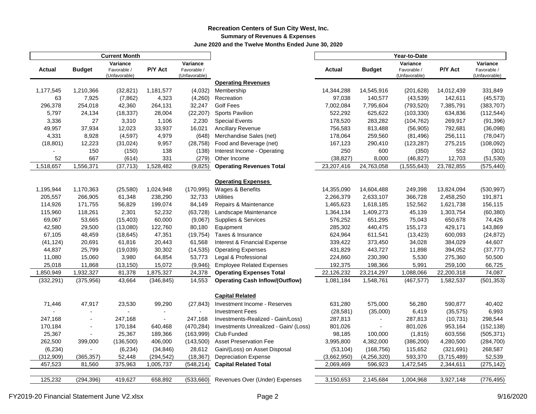#### **Recreation Centers of Sun City West, Inc. Summary of Revenues & Expenses June 2020 and the Twelve Months Ended June 30, 2020**

|            |                | <b>Current Month</b>         |                          |                              |                                        |             |                | Year-to-Date       |             |                              |
|------------|----------------|------------------------------|--------------------------|------------------------------|----------------------------------------|-------------|----------------|--------------------|-------------|------------------------------|
|            |                | Variance                     |                          | Variance                     |                                        |             |                | Variance           |             | Variance                     |
| Actual     | <b>Budget</b>  | Favorable /<br>(Unfavorable) | P/Y Act                  | Favorable /<br>(Unfavorable) |                                        | Actual      | <b>Budget</b>  | Favorable /        | P/Y Act     | Favorable /<br>(Unfavorable) |
|            |                |                              |                          |                              | <b>Operating Revenues</b>              |             |                | (Unfavorable)      |             |                              |
| 1,177,545  | 1,210,366      | (32, 821)                    | 1,181,577                | (4,032)                      | Membership                             | 14,344,288  | 14,545,916     | (201, 628)         | 14,012,439  | 331,849                      |
| 63         | 7,925          | (7,862)                      | 4,323                    | (4,260)                      | Recreation                             | 97,038      | 140,577        | (43, 539)          | 142,611     | (45, 573)                    |
| 296,378    | 254,018        | 42,360                       | 264,131                  | 32,247                       | <b>Golf Fees</b>                       | 7,002,084   | 7,795,604      | (793, 520)         | 7,385,791   | (383, 707)                   |
| 5,797      | 24,134         | (18, 337)                    | 28,004                   | (22, 207)                    | <b>Sports Pavilion</b>                 | 522,292     | 625,622        | (103, 330)         | 634,836     | (112, 544)                   |
| 3,336      | 27             | 3,310                        | 1,106                    | 2,230                        | <b>Special Events</b>                  | 178,520     | 283,282        | (104, 762)         | 269,917     | (91, 396)                    |
| 49,957     | 37,934         | 12,023                       | 33,937                   | 16,021                       | Ancillary Revenue                      | 756,583     | 813,488        | (56, 905)          | 792,681     | (36,098)                     |
| 4,331      | 8,928          | (4, 597)                     | 4,979                    | (648)                        | Merchandise Sales (net)                | 178,064     | 259,560        | (81, 496)          | 256,111     | (78, 047)                    |
| (18, 801)  | 12,223         | (31, 024)                    | 9,957                    | (28, 758)                    | Food and Beverage (net)                | 167,123     | 290,410        | (123, 287)         | 275,215     |                              |
|            | 150            |                              | 138                      | (138)                        | Interest Income - Operating            | 250         | 600            |                    | 552         | (108, 092)                   |
| 52         | 667            | (150)<br>(614)               | 331                      | (279)                        | Other Income                           | (38, 827)   | 8,000          | (350)<br>(46, 827) | 12,703      | (301)<br>(51, 530)           |
| 1,518,657  | 1,556,371      | (37, 713)                    | 1,528,482                | (9, 825)                     | <b>Operating Revenues Total</b>        | 23,207,416  | 24,763,058     | (1, 555, 643)      | 23,782,855  | (575, 440)                   |
|            |                |                              |                          |                              |                                        |             |                |                    |             |                              |
|            |                |                              |                          |                              | <b>Operating Expenses</b>              |             |                |                    |             |                              |
| 1,195,944  | 1,170,363      | (25, 580)                    | 1,024,948                | (170, 995)                   | Wages & Benefits                       | 14,355,090  | 14,604,488     | 249,398            | 13,824,094  | (530, 997)                   |
| 205,557    | 266,905        | 61,348                       | 238,290                  | 32,733                       | <b>Utilities</b>                       | 2,266,379   | 2,633,107      | 366,728            | 2,458,250   | 191,871                      |
| 114,926    | 171,755        | 56,829                       | 199,074                  | 84,149                       | Repairs & Maintenance                  | 1,465,623   | 1,618,185      | 152,562            | 1,621,738   | 156,115                      |
| 115,960    | 118,261        | 2,301                        | 52,232                   | (63, 728)                    | Landscape Maintenance                  | 1,364,134   | 1,409,273      | 45,139             | 1,303,754   | (60, 380)                    |
| 69,067     | 53,665         | (15, 403)                    | 60,000                   | (9,067)                      | Supplies & Services                    | 576,252     | 651,295        | 75,043             | 650,678     | 74,426                       |
| 42,580     | 29,500         | (13,080)                     | 122,760                  | 80,180                       | Equipment                              | 285,302     | 440,475        | 155,173            | 429,171     | 143,869                      |
| 67,105     | 48,459         | (18, 645)                    | 47,351                   | (19, 754)                    | Taxes & Insurance                      | 624,964     | 611,541        | (13, 423)          | 600,093     | (24, 872)                    |
| (41, 124)  | 20,691         | 61,816                       | 20,443                   | 61,568                       | Interest & Financial Expense           | 339,422     | 373,450        | 34,028             | 384,029     | 44,607                       |
| 44,837     | 25,799         | (19,039)                     | 30,302                   | (14, 535)                    | <b>Operating Expenses</b>              | 431,829     | 443,727        | 11,898             | 394,052     | (37, 777)                    |
| 11,080     | 15,060         | 3,980                        | 64,854                   | 53,773                       | Legal & Professional                   | 224,860     | 230,390        | 5,530              | 275,360     | 50,500                       |
| 25,018     | 11,868         | (13, 150)                    | 15,072                   | (9,946)                      | <b>Employee Related Expenses</b>       | 192,375     | 198,366        | 5,991              | 259,100     | 66,725                       |
| 1,850,949  | 1,932,327      | 81,378                       | 1,875,327                | 24,378                       | <b>Operating Expenses Total</b>        | 22,126,232  | 23,214,297     | 1,088,066          | 22,200,318  | 74,087                       |
| (332, 291) | (375, 956)     | 43,664                       | (346, 845)               | 14,553                       | <b>Operating Cash Inflow/(Outflow)</b> | 1,081,184   | 1,548,761      | (467, 577)         | 1,582,537   | (501, 353)                   |
|            |                |                              |                          |                              |                                        |             |                |                    |             |                              |
|            |                |                              |                          |                              | <b>Capital Related</b>                 |             |                |                    |             |                              |
| 71,446     | 47,917         | 23,530                       | 99,290                   | (27, 843)                    | Investment Income - Reserves           | 631,280     | 575,000        | 56,280             | 590,877     | 40,402                       |
|            |                |                              | -                        |                              | <b>Investment Fees</b>                 | (28, 581)   | (35,000)       | 6,419              | (35, 575)   | 6,993                        |
| 247,168    |                | 247,168                      | $\overline{\phantom{a}}$ | 247,168                      | Investments-Realized - Gain/Loss)      | 287,813     |                | 287,813            | (10, 731)   | 298,544                      |
| 170,184    | $\blacksquare$ | 170,184                      | 640,468                  | (470, 284)                   | Investments Unrealized - Gain/ (Loss)  | 801,026     | $\blacksquare$ | 801,026            | 953,164     | (152, 138)                   |
| 25,367     |                | 25,367                       | 189,366                  | (163,999)                    | Club Funded                            | 98,185      | 100,000        | (1, 815)           | 603,556     | (505, 371)                   |
| 262,500    | 399,000        | (136, 500)                   | 406,000                  | (143,500)                    | <b>Asset Preservation Fee</b>          | 3,995,800   | 4,382,000      | (386, 200)         | 4,280,500   | (284, 700)                   |
| (6, 234)   |                | (6, 234)                     | (34, 846)                | 28,612                       | Gain/(Loss) on Asset Disposal          | (53, 104)   | (168, 756)     | 115,652            | (321, 691)  | 268,587                      |
| (312,909)  | (365, 357)     | 52,448                       | (294, 542)               | (18, 367)                    | <b>Depreciation Expense</b>            | (3,662,950) | (4, 256, 320)  | 593,370            | (3,715,489) | 52,539                       |
| 457,523    | 81,560         | 375,963                      | 1,005,737                | (548, 214)                   | <b>Capital Related Total</b>           | 2,069,469   | 596,923        | 1,472,545          | 2,344,611   | (275, 142)                   |
|            |                |                              |                          |                              |                                        |             |                |                    |             |                              |
| 125,232    | (294, 396)     | 419,627                      | 658,892                  | (533,660)                    | Revenues Over (Under) Expenses         | 3,150,653   | 2,145,684      | 1,004,968          | 3,927,148   | (776, 495)                   |
|            |                |                              |                          |                              |                                        |             |                |                    |             |                              |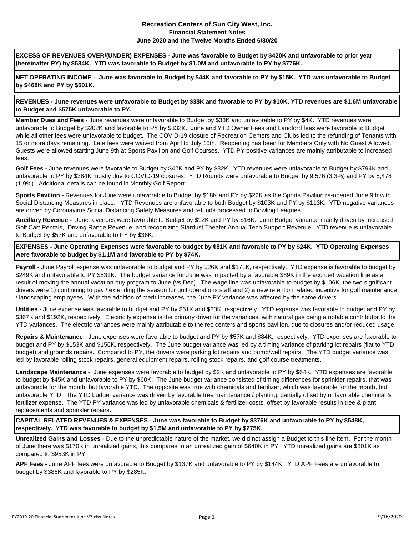#### **Recreation Centers of Sun City West, Inc. Financial Statement Notes June 2020 and the Twelve Months Ended 6/30/20**

**EXCESS OF REVENUES OVER/(UNDER) EXPENSES - June was favorable to Budget by \$420K and unfavorable to prior year (hereinafter PY) by \$534K. YTD was favorable to Budget by \$1.0M and unfavorable to PY by \$776K.** 

**NET OPERATING INCOME - June was favorable to Budget by \$44K and favorable to PY by \$15K. YTD was unfavorable to Budget by \$468K and PY by \$501K.**

**REVENUES - June revenues were unfavorable to Budget by \$38K and favorable to PY by \$10K. YTD revenues are \$1.6M unfavorable to Budget and \$575K unfavorable to PY.**

**Member Dues and Fees -** June revenues were unfavorable to Budget by \$33K and unfavorable to PY by \$4K. YTD revenues were unfavorable to Budget by \$202K and favorable to PY by \$332K. June and YTD Owner Fees and Landlord fees were favorable to Budget while all other fees were unfavorable to budget. The COVID-19 closure of Recreation Centers and Clubs led to the refunding of Tenants with 15 or more days remaining. Late fees were waived from April to July 15th. Reopening has been for Members Only with No Guest Allowed. Guests were allowed starting June 9th at Sports Pavilion and Golf Courses. YTD PY positive variances are mainly attributable to increased fees.

**Golf Fees -** June revenues were favorable to Budget by \$42K and PY by \$32K. YTD revenues were unfavorable to Budget by \$794K and unfavorable to PY by \$384K mostly due to COVID-19 closures. YTD Rounds were unfavorable to Budget by 9,576 (3.3%) and PY by 5,478 (1.9%). Additional details can be found in Monthly Golf Report.

**Sports Pavilion -** Revenues for June were unfavorable to Budget by \$18K and PY by \$22K as the Sports Pavilion re-opened June 9th with Social Distancing Measures in place. YTD Revenues are unfavorable to both Budget by \$103K and PY by \$113K. YTD negative variances are driven by Coronavirus Social Distancing Safety Measures and refunds processed to Bowling Leagues.

**Ancillary Revenue -** June revenues were favorable to Budget by \$12K and PY by \$16K. June Budget variance mainly driven by increased Golf Cart Rentals, Driving Range Revenue, and recognizing Stardust Theater Annual Tech Support Revenue. YTD revenue is unfavorable to Budget by \$57K and unfavorable to PY by \$36K.

**EXPENSES - June Operating Expenses were favorable to budget by \$81K and favorable to PY by \$24K. YTD Operating Expenses were favorable to budget by \$1.1M and favorable to PY by \$74K.**

**Payroll** - June Payroll expense was unfavorable to budget and PY by \$26K and \$171K, respectively. YTD expense is favorable to budget by \$249K and unfavorable to PY \$531K. The budget variance for June was impacted by a favorable \$89K in the accrued vacation line as a result of moving the annual vacation buy program to June (vs Dec). The wage line was unfavorable to budget by \$106K, the two significant drivers were 1) continuing to pay / extending the season for golf operations staff and 2) a new retention related incentive for golf maintenance / landscaping employees. With the addition of merit increases, the June PY variance was affected by the same drivers.

**Utilities** - June expense was favorable to budget and PY by \$61K and \$33K, respectively. YTD expense was favorable to budget and PY by \$367K and \$192K, respectively. Electricity expense is the primary driver for the variances, with natural gas being a notable contributor to the YTD variances. The electric variances were mainly attributable to the rec centers and sports pavilion, due to closures and/or reduced usage.

**Repairs & Maintenance** - June expenses were favorable to budget and PY by \$57K and \$84K, respectively. YTD expenses are favorable to budget and PY by \$153K and \$156K, respectively. The June budget variance was led by a timing variance of parking lot repairs (flat to YTD budget) and grounds repairs. Compared to PY, the drivers were parking lot repairs and pump/well repairs. The YTD budget variance was led by favorable rolling stock repairs, general equipment repairs, rolling stock repairs, and golf course treatments.

**Landscape Maintenance** - June expenses were favorable to budget by \$2K and unfavorable to PY by \$64K. YTD expenses are favorable to budget by \$45K and unfavorable to PY by \$60K. The June budget variance consisted of timing differences for sprinkler repairs, that was unfavorable for the month, but favorable YTD. The opposite was true with chemicals and fertilizer, which was favorable for the month, but unfavorable YTD. The YTD budget variance was driven by favorable tree maintenance / planting, partially offset by unfavorable chemical & fertilizer expense. The YTD PY variance was led by unfavorable chemicals & fertilizer costs, offset by favorable results in tree & plant replacements and sprinkler repairs.

**CAPITAL RELATED REVENUES & EXPENSES - June was favorable to Budget by \$376K and unfavorable to PY by \$548K, respectively. YTD was favorable to budget by \$1.5M and unfavorable to PY by \$275K.**

**Unrealized Gains and Losses** - Due to the unpredictable nature of the market, we did not assign a Budget to this line item. For the month of June there was \$170K in unrealized gains, this compares to an unrealized gain of \$640K in PY. YTD unrealized gains are \$801K as compared to \$953K in PY.

**APF Fees -** June APF fees were unfavorable to Budget by \$137K and unfavorable to PY by \$144K. YTD APF Fees are unfavorable to budget by \$386K and favorable to PY by \$285K.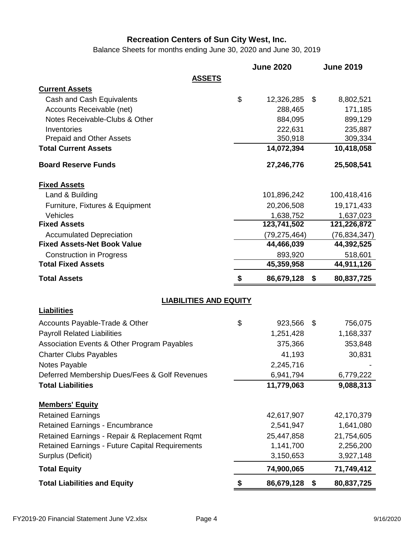Balance Sheets for months ending June 30, 2020 and June 30, 2019

|                                                 |                               | <b>June 2020</b> | <b>June 2019</b> |
|-------------------------------------------------|-------------------------------|------------------|------------------|
|                                                 | <b>ASSETS</b>                 |                  |                  |
| <b>Current Assets</b>                           |                               |                  |                  |
| Cash and Cash Equivalents                       |                               | \$<br>12,326,285 | \$<br>8,802,521  |
| Accounts Receivable (net)                       |                               | 288,465          | 171,185          |
| Notes Receivable-Clubs & Other                  |                               | 884,095          | 899,129          |
| Inventories                                     |                               | 222,631          | 235,887          |
| <b>Prepaid and Other Assets</b>                 |                               | 350,918          | 309,334          |
| <b>Total Current Assets</b>                     |                               | 14,072,394       | 10,418,058       |
| <b>Board Reserve Funds</b>                      |                               | 27,246,776       | 25,508,541       |
| <b>Fixed Assets</b>                             |                               |                  |                  |
| Land & Building                                 |                               | 101,896,242      | 100,418,416      |
| Furniture, Fixtures & Equipment                 |                               | 20,206,508       | 19,171,433       |
| Vehicles                                        |                               | 1,638,752        | 1,637,023        |
| <b>Fixed Assets</b>                             |                               | 123,741,502      | 121,226,872      |
| <b>Accumulated Depreciation</b>                 |                               | (79, 275, 464)   | (76, 834, 347)   |
| <b>Fixed Assets-Net Book Value</b>              |                               | 44,466,039       | 44,392,525       |
| <b>Construction in Progress</b>                 |                               | 893,920          | 518,601          |
| <b>Total Fixed Assets</b>                       |                               | 45,359,958       | 44,911,126       |
| <b>Total Assets</b>                             |                               | \$<br>86,679,128 | \$<br>80,837,725 |
|                                                 | <b>LIABILITIES AND EQUITY</b> |                  |                  |
| <b>Liabilities</b>                              |                               |                  |                  |
| Accounts Payable-Trade & Other                  |                               | \$<br>923,566    | \$<br>756,075    |
| <b>Payroll Related Liabilities</b>              |                               | 1,251,428        | 1,168,337        |
| Association Events & Other Program Payables     |                               | 375,366          | 353,848          |
| <b>Charter Clubs Payables</b>                   |                               | 41,193           | 30,831           |
| Notes Payable                                   |                               | 2,245,716        |                  |
| Deferred Membership Dues/Fees & Golf Revenues   |                               | 6,941,794        | 6,779,222        |
| <b>Total Liabilities</b>                        |                               | 11,779,063       | 9,088,313        |
| <b>Members' Equity</b>                          |                               |                  |                  |
| <b>Retained Earnings</b>                        |                               | 42,617,907       | 42,170,379       |
| <b>Retained Earnings - Encumbrance</b>          |                               | 2,541,947        | 1,641,080        |
| Retained Earnings - Repair & Replacement Rqmt   |                               | 25,447,858       | 21,754,605       |
| Retained Earnings - Future Capital Requirements |                               | 1,141,700        | 2,256,200        |
| Surplus (Deficit)                               |                               | 3,150,653        | 3,927,148        |
| <b>Total Equity</b>                             |                               | 74,900,065       | 71,749,412       |
| <b>Total Liabilities and Equity</b>             |                               | \$<br>86,679,128 | \$<br>80,837,725 |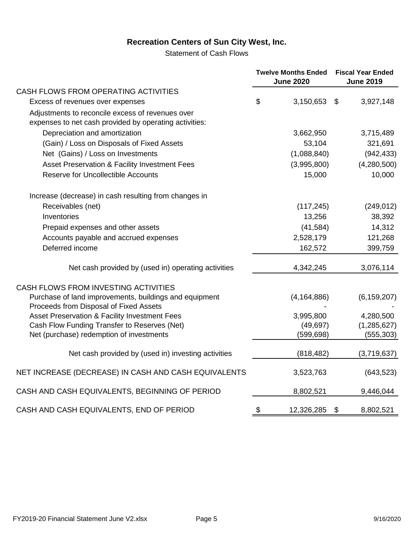Statement of Cash Flows

|                                                                                                            | <b>Twelve Months Ended</b><br><b>June 2020</b> |                       | <b>Fiscal Year Ended</b><br><b>June 2019</b> |  |
|------------------------------------------------------------------------------------------------------------|------------------------------------------------|-----------------------|----------------------------------------------|--|
| CASH FLOWS FROM OPERATING ACTIVITIES                                                                       |                                                |                       |                                              |  |
| Excess of revenues over expenses                                                                           | \$<br>3,150,653                                | \$                    | 3,927,148                                    |  |
| Adjustments to reconcile excess of revenues over<br>expenses to net cash provided by operating activities: |                                                |                       |                                              |  |
| Depreciation and amortization                                                                              | 3,662,950                                      |                       | 3,715,489                                    |  |
| (Gain) / Loss on Disposals of Fixed Assets                                                                 | 53,104                                         |                       | 321,691                                      |  |
| Net (Gains) / Loss on Investments                                                                          | (1,088,840)                                    |                       | (942, 433)                                   |  |
| Asset Preservation & Facility Investment Fees                                                              | (3,995,800)                                    |                       | (4,280,500)                                  |  |
| <b>Reserve for Uncollectible Accounts</b>                                                                  | 15,000                                         |                       | 10,000                                       |  |
| Increase (decrease) in cash resulting from changes in                                                      |                                                |                       |                                              |  |
| Receivables (net)                                                                                          | (117, 245)                                     |                       | (249, 012)                                   |  |
| Inventories                                                                                                | 13,256                                         |                       | 38,392                                       |  |
| Prepaid expenses and other assets                                                                          | (41, 584)                                      |                       | 14,312                                       |  |
| Accounts payable and accrued expenses                                                                      | 2,528,179                                      |                       | 121,268                                      |  |
| Deferred income                                                                                            | 162,572                                        |                       | 399,759                                      |  |
| Net cash provided by (used in) operating activities                                                        | 4,342,245                                      |                       | 3,076,114                                    |  |
| CASH FLOWS FROM INVESTING ACTIVITIES                                                                       |                                                |                       |                                              |  |
| Purchase of land improvements, buildings and equipment<br>Proceeds from Disposal of Fixed Assets           | (4, 164, 886)                                  |                       | (6, 159, 207)                                |  |
| Asset Preservation & Facility Investment Fees                                                              | 3,995,800                                      |                       | 4,280,500                                    |  |
| Cash Flow Funding Transfer to Reserves (Net)                                                               | (49, 697)                                      |                       | (1, 285, 627)                                |  |
| Net (purchase) redemption of investments                                                                   | (599, 698)                                     |                       | (555, 303)                                   |  |
| Net cash provided by (used in) investing activities                                                        | (818, 482)                                     |                       | (3,719,637)                                  |  |
| NET INCREASE (DECREASE) IN CASH AND CASH EQUIVALENTS                                                       | 3,523,763                                      |                       | (643, 523)                                   |  |
| CASH AND CASH EQUIVALENTS, BEGINNING OF PERIOD                                                             | 8,802,521                                      |                       | 9,446,044                                    |  |
| CASH AND CASH EQUIVALENTS, END OF PERIOD                                                                   | \$<br>12,326,285                               | $\boldsymbol{\theta}$ | 8,802,521                                    |  |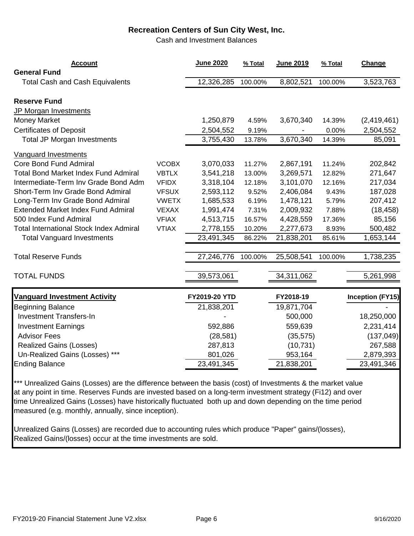Cash and Investment Balances

| <b>Account</b><br><b>General Fund</b>                          | <b>June 2020</b> | % Total | <b>June 2019</b> | % Total | Change                  |
|----------------------------------------------------------------|------------------|---------|------------------|---------|-------------------------|
| <b>Total Cash and Cash Equivalents</b>                         | 12,326,285       | 100.00% | 8,802,521        | 100.00% | 3,523,763               |
| <b>Reserve Fund</b>                                            |                  |         |                  |         |                         |
| JP Morgan Investments<br><b>Money Market</b>                   | 1,250,879        | 4.59%   | 3,670,340        | 14.39%  | (2,419,461)             |
| <b>Certificates of Deposit</b>                                 | 2,504,552        | 9.19%   |                  | 0.00%   | 2,504,552               |
| <b>Total JP Morgan Investments</b>                             | 3,755,430        | 13.78%  | 3,670,340        | 14.39%  | 85,091                  |
| <b>Vanguard Investments</b>                                    |                  |         |                  |         |                         |
| <b>Core Bond Fund Admiral</b><br><b>VCOBX</b>                  | 3,070,033        | 11.27%  | 2,867,191        | 11.24%  | 202,842                 |
| <b>Total Bond Market Index Fund Admiral</b><br><b>VBTLX</b>    | 3,541,218        | 13.00%  | 3,269,571        | 12.82%  | 271,647                 |
| Intermediate-Term Inv Grade Bond Adm<br><b>VFIDX</b>           | 3,318,104        | 12.18%  | 3,101,070        | 12.16%  | 217,034                 |
| Short-Term Inv Grade Bond Admiral<br><b>VFSUX</b>              | 2,593,112        | 9.52%   | 2,406,084        | 9.43%   | 187,028                 |
| Long-Term Inv Grade Bond Admiral<br><b>VWETX</b>               | 1,685,533        | 6.19%   | 1,478,121        | 5.79%   | 207,412                 |
| <b>Extended Market Index Fund Admiral</b><br><b>VEXAX</b>      | 1,991,474        | 7.31%   | 2,009,932        | 7.88%   | (18, 458)               |
| 500 Index Fund Admiral<br><b>VFIAX</b>                         | 4,513,715        | 16.57%  | 4,428,559        | 17.36%  | 85,156                  |
| <b>Total International Stock Index Admiral</b><br><b>VTIAX</b> | 2,778,155        | 10.20%  | 2,277,673        | 8.93%   | 500,482                 |
| <b>Total Vanguard Investments</b>                              | 23,491,345       | 86.22%  | 21,838,201       | 85.61%  | 1,653,144               |
| <b>Total Reserve Funds</b>                                     | 27,246,776       | 100.00% | 25,508,541       | 100.00% | 1,738,235               |
| <b>TOTAL FUNDS</b>                                             | 39,573,061       |         | 34,311,062       |         | 5,261,998               |
| <b>Vanguard Investment Activity</b>                            | FY2019-20 YTD    |         | FY2018-19        |         | <b>Inception (FY15)</b> |
| <b>Beginning Balance</b>                                       | 21,838,201       |         | 19,871,704       |         |                         |
| <b>Investment Transfers-In</b>                                 |                  |         | 500,000          |         | 18,250,000              |
| <b>Investment Earnings</b>                                     | 592,886          |         | 559,639          |         | 2,231,414               |
| <b>Advisor Fees</b>                                            | (28, 581)        |         | (35, 575)        |         | (137, 049)              |
| <b>Realized Gains (Losses)</b>                                 | 287,813          |         | (10, 731)        |         | 267,588                 |
| Un-Realized Gains (Losses) ***                                 | 801,026          |         | 953,164          |         | 2,879,393               |
| <b>Ending Balance</b>                                          | 23,491,345       |         | 21,838,201       |         | 23,491,346              |

\*\*\* Unrealized Gains (Losses) are the difference between the basis (cost) of Investments & the market value at any point in time. Reserves Funds are invested based on a long-term investment strategy (Fi12) and over time Unrealized Gains (Losses) have historically fluctuated both up and down depending on the time period measured (e.g. monthly, annually, since inception).

Unrealized Gains (Losses) are recorded due to accounting rules which produce "Paper" gains/(losses), Realized Gains/(losses) occur at the time investments are sold.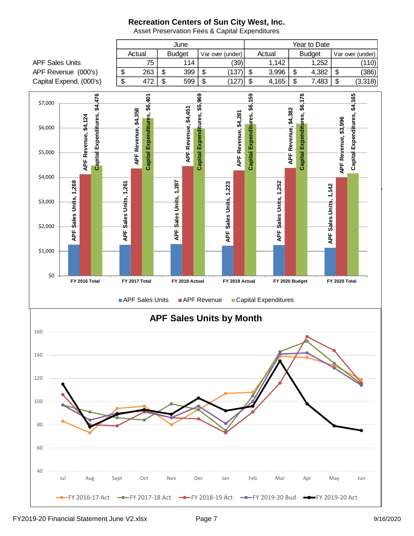June Year to Date Actual | Budget | Var over (under) | Actual | Budget | Var over (under) APF Sales Units  $\begin{vmatrix} 75 & 114 & 39 \end{vmatrix}$  1,142 1,252 (110) APF Revenue (000's)  $\begin{vmatrix} 1 & 263 & 1 & 399 & 15 \\ 1 & 3 & 3 & 1 & 16 \\ 1 & 1 & 1 & 1 & 16 \\ 1 & 1 & 1 & 1 & 16 \\ 1 & 1 & 1 & 1 & 16 \\ 1 & 1 & 1 & 1 & 16 \\ 1 & 1 & 1 & 1 & 16 \\ 1 & 1 & 1 & 1 & 16 \\ 1 & 1 & 1 & 1 & 16 \\ 1 & 1 & 1 & 1 & 16 \\ 1 & 1 & 1 & 1 & 16 \\ 1 & 1 & 1 & 1 & 16$  Capital Expend. (000's) \$ 472 \$ 599 \$ (127) \$ 4,165 \$ 7,483 \$ (3,318)  $$4,165$  $$4,476$ Capital Expenditures, \$6,401 Capital Expenditures, \$5,969 59 Capital Expenditures, \$6,176 **Capital Expenditures, \$4,476 Capital Expenditures, \$5,969 Capital Expenditures, \$6,159 Capital Expenditures, \$6,176 Capital Expenditures, \$4,165 Capital Expenditures, \$6,401** \$7,000 Capital Expenditures, \$6, APF Revenue, \$4,451 **APF Revenue, \$4,451** APF Revenue, \$4,358 APF Revenue, \$4,382 **APF Revenue, \$4,382 APF Revenue, \$4,358** APF Revenue, \$4,281 **APF Revenue, \$4,281** Expenditures, **APF Revenue, \$4,124** APF Revenue, \$3,996 **APF Revenue, \$3,996** \$6,000 \$5,000 Capital  $\alpha$  2022 and for the 11 Months Ended \$4,000 Sales Units, 1,268 **APF Sales Units, 1,268** APF Sales Units, 1,287 **APF Sales Units, 1,287** Sales Units, 1,252 Sales Units, 1,261 Sales Units, 1,223 **APF Sales Units, 1,252 APF Sales Units, 1,261 APF Sales Units, 1,223** APF Sales Units, 1,142 **APF Sales Units, 1,142** 31-May-17 \$3,000 \$2,000 APF : **APF** APF S APF : \$1,000 \$0 **FY 2016 Total FY 2017 Total FY 2018 Actual FY 2019 Actual FY 2020 Budget FY 2020 Total** APF Sales Units APF Revenue Capital Expenditures **APF Sales Units by Month** 160 140 120 100 80 60 40 Jul Aug Sept Oct Nov Dec Jan Feb Mar Apr May Jun

Asset Preservation Fees & Capital Expenditures

FY 2016-17 Act - FY 2017-18 Act - FY 2018-19 Act - FY 2019-20 Bud - FY 2019-20 Act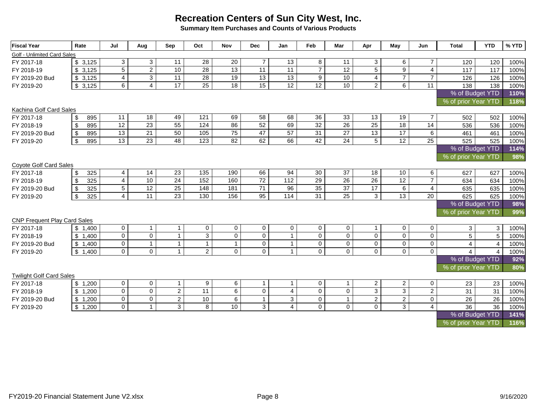**Summary Item Purchases and Counts of Various Products**

| <b>Fiscal Year</b>                  | Rate                             | Jul             | Aug             | Sep             | Oct              | <b>Nov</b>      | <b>Dec</b>      | Jan             | Feb            | Mar             | Apr                 | May             | Jun            | <b>Total</b>        | <b>YTD</b>      | % YTD |
|-------------------------------------|----------------------------------|-----------------|-----------------|-----------------|------------------|-----------------|-----------------|-----------------|----------------|-----------------|---------------------|-----------------|----------------|---------------------|-----------------|-------|
| Golf - Unlimited Card Sales         |                                  |                 |                 |                 |                  |                 |                 |                 |                |                 |                     |                 |                |                     |                 |       |
| FY 2017-18                          | \$3,125                          | $\mathbf{3}$    | 3               | 11              | 28               | 20              | $\overline{7}$  | 13              | 8              | 11              | 3                   | 6               | $\overline{7}$ | 120                 | 120             | 100%  |
| FY 2018-19                          | \$3,125                          | $\overline{5}$  | $\overline{2}$  | 10              | $\overline{28}$  | $\overline{13}$ | 11              | 11              | $\overline{7}$ | $\overline{12}$ | $\overline{5}$      | $\overline{9}$  | $\overline{4}$ | 117                 | 117             | 100%  |
| FY 2019-20 Bud                      | \$3,125                          | $\overline{4}$  | $\overline{3}$  | 11              | $\overline{28}$  | 19              | $\overline{13}$ | 13              | 9              | 10              | 4                   | $\overline{7}$  | $\overline{7}$ | 126                 | 126             | 100%  |
| FY 2019-20                          | \$3,125                          | 6               | $\overline{4}$  | 17              | 25               | 18              | 15              | 12              | 12             | 10              | $\overline{a}$      | 6               | 11             | 138                 | 138             | 100%  |
|                                     |                                  |                 |                 |                 |                  |                 |                 |                 |                |                 |                     | % of Budget YTD | 110%           |                     |                 |       |
|                                     |                                  |                 |                 |                 |                  |                 |                 |                 |                |                 | % of prior Year YTD |                 | 118%           |                     |                 |       |
| Kachina Golf Card Sales             |                                  |                 |                 |                 |                  |                 |                 |                 |                |                 |                     |                 |                |                     |                 |       |
| FY 2017-18                          | \$<br>895                        | 11              | 18              | 49              | 121              | 69              | 58              | 68              | 36             | 33              | 13                  | 19              | $\overline{7}$ | 502                 | 502             | 100%  |
| FY 2018-19                          | 895<br>\$                        | 12              | 23              | 55              | 124              | 86              | 52              | 69              | 32             | $\overline{26}$ | 25                  | 18              | 14             | 536                 | 536             | 100%  |
| FY 2019-20 Bud                      | 895<br>\$                        | $\overline{13}$ | 21              | 50              | 105              | $\overline{75}$ | 47              | $\overline{57}$ | 31             | $\overline{27}$ | 13                  | $\overline{17}$ | 6              | 461                 | 461             | 100%  |
| FY 2019-20                          | $\boldsymbol{\mathsf{S}}$<br>895 | 13              | 23              | 48              | $\overline{123}$ | 82              | 62              | 66              | 42             | 24              | $\overline{5}$      | 12              | 25             | 525                 | 525             | 100%  |
|                                     |                                  |                 |                 |                 |                  |                 |                 |                 |                |                 |                     |                 |                | % of Budget YTD     |                 | 114%  |
|                                     |                                  |                 |                 |                 |                  |                 |                 |                 |                |                 |                     |                 |                | % of prior Year YTD |                 | 98%   |
| Coyote Golf Card Sales              |                                  |                 |                 |                 |                  |                 |                 |                 |                |                 |                     |                 |                |                     |                 |       |
| FY 2017-18                          | \$<br>325                        | 4               | $\overline{14}$ | $\overline{23}$ | $\frac{135}{ }$  | 190             | 66              | 94              | 30             | 37              | $\overline{18}$     | 10              | 6              | 627                 | 627             | 100%  |
| FY 2018-19                          | 325<br>\$                        | $\overline{4}$  | 10              | 24              | 152              | 160             | $\overline{72}$ | 112             | 29             | $\overline{26}$ | $\overline{26}$     | 12              | $\overline{7}$ | 634                 | 634             | 100%  |
| FY 2019-20 Bud                      | 325<br>\$                        | 5               | 12              | 25              | 148              | 181             | 71              | 96              | 35             | 37              | 17                  | 6               | $\overline{4}$ | 635                 | 635             | 100%  |
| FY 2019-20                          | $\mathfrak{S}$<br>325            | $\overline{4}$  | $\overline{11}$ | 23              | 130              | 156             | 95              | 114             | 31             | 25              | 3                   | $\overline{13}$ | 20             | 625                 | 625             | 100%  |
|                                     |                                  |                 |                 |                 |                  |                 |                 |                 |                |                 |                     |                 |                | % of Budget YTD     |                 | 98%   |
|                                     |                                  |                 |                 |                 |                  |                 |                 |                 |                |                 |                     |                 |                | % of prior Year YTD |                 | 99%   |
| <b>CNP Frequent Play Card Sales</b> |                                  |                 |                 |                 |                  |                 |                 |                 |                |                 |                     |                 |                |                     |                 |       |
| FY 2017-18                          | \$1,400                          | $\mathbf 0$     | $\mathbf{1}$    | $\mathbf{1}$    | $\mathbf 0$      | $\mathsf{O}$    | $\mathbf 0$     | $\mathbf 0$     | $\mathbf 0$    | $\mathsf{O}$    | $\mathbf{1}$        | $\mathbf 0$     | $\mathbf 0$    | $\mathbf{3}$        | 3               | 100%  |
| FY 2018-19                          | \$1,400                          | $\mathbf 0$     | $\mathbf 0$     | $\mathbf{1}$    | 3                | $\mathbf 0$     | $\mathbf 0$     | $\mathbf{1}$    | $\mathbf 0$    | $\mathsf{O}$    | $\mathbf 0$         | 0               | $\mathbf 0$    | 5                   | $5\overline{)}$ | 100%  |
| FY 2019-20 Bud                      | \$1,400                          | $\mathbf 0$     | $\mathbf{1}$    | $\mathbf 1$     | $\mathbf{1}$     | $\mathbf{1}$    | $\mathbf 0$     | $\mathbf{1}$    | $\mathbf 0$    | $\mathsf{O}$    | $\mathbf 0$         | 0               | $\pmb{0}$      | $\overline{4}$      | $\overline{4}$  | 100%  |
| FY 2019-20                          | \$1,400                          | $\mathbf 0$     | $\mathbf 0$     | $\mathbf{1}$    | $\overline{2}$   | $\mathbf{0}$    | $\Omega$        | $\mathbf{1}$    | $\mathbf 0$    | $\mathbf 0$     | $\Omega$            | $\mathbf 0$     | $\mathbf 0$    | 4                   | $\overline{a}$  | 100%  |
|                                     |                                  |                 |                 |                 |                  |                 |                 |                 |                |                 |                     |                 |                | % of Budget YTD     |                 | 92%   |
|                                     |                                  |                 |                 |                 |                  |                 |                 |                 |                |                 |                     |                 |                | % of prior Year YTD |                 | 80%   |
| <b>Twilight Golf Card Sales</b>     |                                  |                 |                 |                 |                  |                 |                 |                 |                |                 |                     |                 |                |                     |                 |       |
| FY 2017-18                          | \$1,200                          | $\mathbf 0$     | $\mathbf 0$     | $\mathbf{1}$    | 9                | 6               | $\overline{1}$  | $\overline{1}$  | $\mathbf 0$    | $\mathbf{1}$    | $\mathbf{2}$        | $\overline{a}$  | $\mathbf 0$    | 23                  | 23              | 100%  |
| FY 2018-19                          | \$1,200                          | $\mathbf 0$     | $\mathsf 0$     | $\overline{2}$  | $\overline{11}$  | 6               | $\mathbf 0$     | $\overline{4}$  | $\mathbf 0$    | $\mathsf{O}$    | $\overline{\omega}$ | $\overline{3}$  | $\overline{2}$ | 31                  | 31              | 100%  |
| FY 2019-20 Bud                      | \$1,200                          | $\mathbf 0$     | $\overline{0}$  | $\overline{2}$  | 10               | $\,6\,$         | $\mathbf{1}$    | 3               | $\mathbf 0$    | $\mathbf{1}$    | $\overline{2}$      | $\overline{2}$  | $\mathbf 0$    | 26                  | 26              | 100%  |
| FY 2019-20                          | \$1,200                          | $\mathbf 0$     | $\overline{1}$  | 3               | 8                | 10              | 3               | $\overline{4}$  | $\mathbf 0$    | $\mathsf{O}$    | $\mathbf 0$         | $\overline{3}$  | $\overline{4}$ | 36                  | 36              | 100%  |
|                                     |                                  |                 |                 |                 |                  |                 |                 |                 |                |                 |                     |                 |                | % of Budget YTD     |                 | 141%  |
|                                     |                                  |                 |                 |                 |                  |                 |                 |                 |                |                 |                     |                 |                | % of prior Year YTD |                 | 116%  |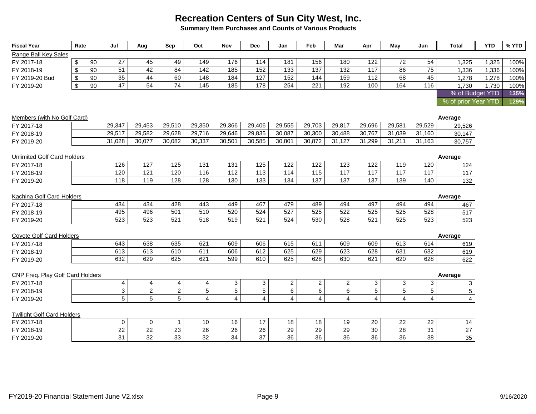**Summary Item Purchases and Counts of Various Products**

| <b>Fiscal Year</b>                              | Rate          |    | Jul             | Aug              | Sep              | Oct            | Nov            | <b>Dec</b>        | Jan               | Feb            | Mar             | Apr            | May             | Jun             | <b>Total</b>        | <b>YTD</b> | % YTD |
|-------------------------------------------------|---------------|----|-----------------|------------------|------------------|----------------|----------------|-------------------|-------------------|----------------|-----------------|----------------|-----------------|-----------------|---------------------|------------|-------|
| Range Ball Key Sales                            |               |    |                 |                  |                  |                |                |                   |                   |                |                 |                |                 |                 |                     |            |       |
| FY 2017-18                                      | \$            | 90 | 27              | 45               | 49               | 149            | 176            | 114               | 181               | 156            | 180             | 122            | 72              | 54              | 1,325               | 1,325      | 100%  |
| FY 2018-19                                      | \$            | 90 | $\overline{51}$ | 42               | $\overline{84}$  | 142            | 185            | 152               | $\overline{133}$  | 137            | 132             | 117            | $\overline{86}$ | $\overline{75}$ | 1,336               | 1,336      | 100%  |
| FY 2019-20 Bud                                  | \$            | 90 | 35              | 44               | 60               | 148            | 184            | 127               | 152               | 144            | 159             | 112            | 68              | 45              | 1,278               | 1,278      | 100%  |
| FY 2019-20                                      | $\mathfrak s$ | 90 | 47              | $\overline{54}$  | $\overline{74}$  | 145            | 185            | 178               | 254               | 221            | 192             | 100            | 164             | 116             | 1,730               | 1,730      | 100%  |
|                                                 |               |    |                 |                  |                  |                |                |                   |                   |                |                 |                |                 |                 | % of Budget YTD     |            | 135%  |
|                                                 |               |    |                 |                  |                  |                |                |                   |                   |                |                 |                |                 |                 | % of prior Year YTD |            | 129%  |
| Members (with No Golf Card)                     |               |    |                 |                  |                  |                |                |                   |                   |                |                 |                |                 |                 | Average             |            |       |
| FY 2017-18                                      |               |    | 29,347          | 29,453           | 29,510           | 29,350         | 29,366         | 29,406            | 29,555            | 29,703         | 29,817          | 29,696         | 29,581          | 29,529          | 29,526              |            |       |
| FY 2018-19                                      |               |    | 29,517          | 29,582           | 29,628           | 29,716         | 29,646         | 29,835            | 30,087            | 30,300         | 30,488          | 30,767         | 31,039          | 31,160          | 30,147              |            |       |
| FY 2019-20                                      |               |    | 31,028          | 30,077           | 30,082           | 30,337         | 30,501         | 30,585            | 30,801            | 30,872         | 31,127          | 31,299         | 31,211          | 31,163          | 30,757              |            |       |
| <b>Unlimited Golf Card Holders</b>              |               |    |                 |                  |                  |                |                |                   |                   |                |                 |                |                 |                 | Average             |            |       |
| FY 2017-18                                      |               |    | 126             | 127              | $\frac{125}{25}$ | 131            | 131            | 125               | 122               | 122            | 123             | 122            | 119             | 120             | 124                 |            |       |
| FY 2018-19                                      |               |    | 120             | 121              | 120              | 116            | 112            | $\frac{113}{113}$ | $\frac{114}{114}$ | 115            | 117             | 117            | 117             | 117             | 117                 |            |       |
| FY 2019-20                                      |               |    | 118             | 119              | 128              | 128            | 130            | 133               | 134               | 137            | 137             | 137            | 139             | 140             | 132                 |            |       |
| Kachina Golf Card Holders                       |               |    |                 |                  |                  |                |                |                   |                   |                |                 |                |                 |                 | Average             |            |       |
| FY 2017-18                                      |               |    | 434             | 434              | 428              | 443            | 449            | 467               | 479               | 489            | 494             | 497            | 494             | 494             | 467                 |            |       |
| FY 2018-19                                      |               |    | 495             | 496              | 501              | 510            | 520            | 524               | $\overline{527}$  | 525            | 522             | 525            | 525             | 528             | 517                 |            |       |
| FY 2019-20                                      |               |    | 523             | 523              | 521              | 518            | 519            | 521               | 524               | 530            | 528             | 521            | 525             | 523             | 523                 |            |       |
| <b>Coyote Golf Card Holders</b>                 |               |    |                 |                  |                  |                |                |                   |                   |                |                 |                |                 |                 | Average             |            |       |
| FY 2017-18                                      |               |    | 643             | 638              | 635              | 621            | 609            | 606               | 615               | 611            | 609             | 609            | 613             | 614             | 619                 |            |       |
| FY 2018-19                                      |               |    | 613             | 613              | 610              | 611            | 606            | 612               | 625               | 629            | 623             | 628            | 631             | 632             | 619                 |            |       |
| FY 2019-20                                      |               |    | 632             | 629              | 625              | 621            | 599            | 610               | 625               | 628            | 630             | 621            | 620             | 628             | 622                 |            |       |
| CNP Freq. Play Golf Card Holders                |               |    |                 |                  |                  |                |                |                   |                   |                |                 |                |                 |                 | Average             |            |       |
| FY 2017-18                                      |               |    | $\overline{4}$  | $\overline{4}$   | 4                | 4              | 3              | 3                 | $\overline{2}$    | $\overline{a}$ | $\overline{a}$  | 3              | 3               | 3               | 3                   |            |       |
| FY 2018-19                                      |               |    | $\mathbf{3}$    | $\boldsymbol{2}$ | $\overline{2}$   | $\overline{5}$ | $\overline{5}$ | $5\phantom{.0}$   | $6\phantom{1}$    | 6              | $\overline{6}$  | $\overline{5}$ | 5               | $5\phantom{.0}$ | 5                   |            |       |
| FY 2019-20                                      |               |    | 5               | 5                | 5                | $\overline{4}$ | $\overline{4}$ | 4                 | $\overline{4}$    | $\overline{4}$ | $\overline{4}$  | $\overline{4}$ | $\overline{4}$  | $\overline{4}$  | $\overline{4}$      |            |       |
|                                                 |               |    |                 |                  |                  |                |                |                   |                   |                |                 |                |                 |                 |                     |            |       |
| <b>Twilight Golf Card Holders</b><br>FY 2017-18 |               |    | $\mathbf 0$     | $\mathbf 0$      | $\mathbf 1$      | 10             | 16             | 17                | 18                | 18             | 19              | 20             | 22              | 22              |                     |            |       |
| FY 2018-19                                      |               |    | 22              | 22               | 23               | 26             | 26             | 26                | 29                | 29             | 29              | 30             | 28              | 31              | 14<br>27            |            |       |
| FY 2019-20                                      |               |    | 31              | 32               | 33               | 32             | 34             | 37                | 36                | 36             | $\overline{36}$ | 36             | 36              | $\overline{38}$ | 35                  |            |       |
|                                                 |               |    |                 |                  |                  |                |                |                   |                   |                |                 |                |                 |                 |                     |            |       |